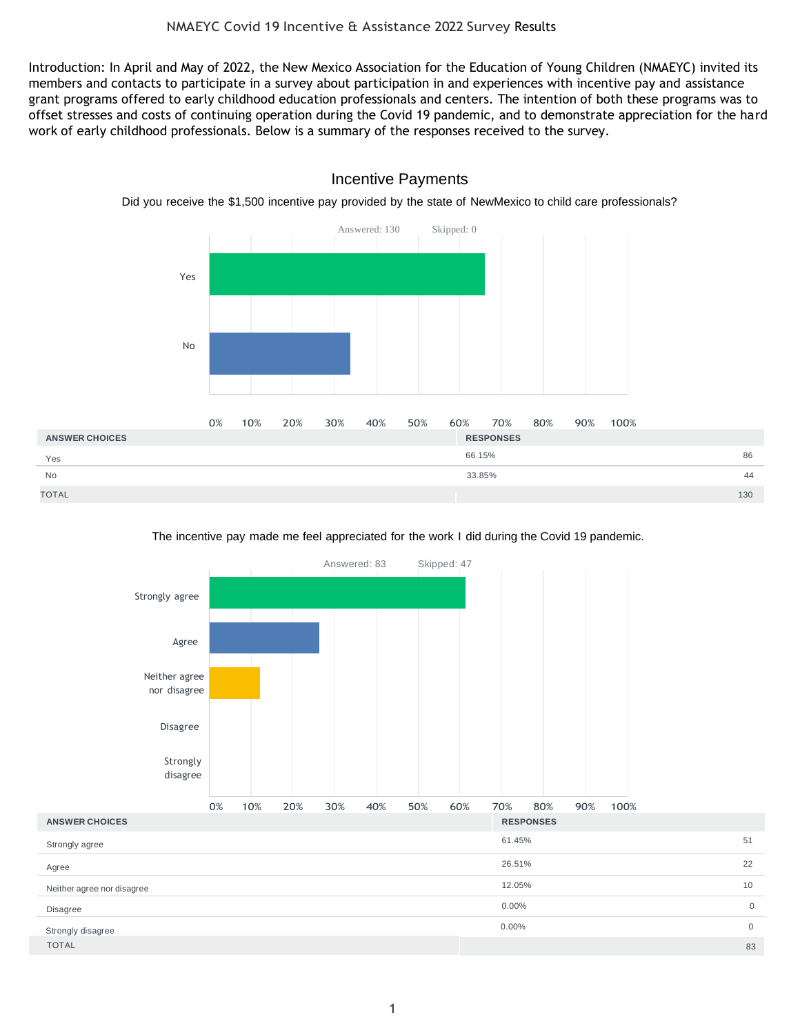Introduction: In April and May of 2022, the New Mexico Association for the Education of Young Children (NMAEYC) invited its members and contacts to participate in a survey about participation in and experiences with incentive pay and assistance grant programs offered to early childhood education professionals and centers. The intention of both these programs was to offset stresses and costs of continuing operation during the Covid 19 pandemic, and to demonstrate appreciation for the hard work of early childhood professionals. Below is a summary of the responses received to the survey.



## Incentive Payments

Did you receive the \$1,500 incentive pay provided by the state of NewMexico to child care professionals?

#### The incentive pay made me feel appreciated for the work I did during the Covid 19 pandemic.

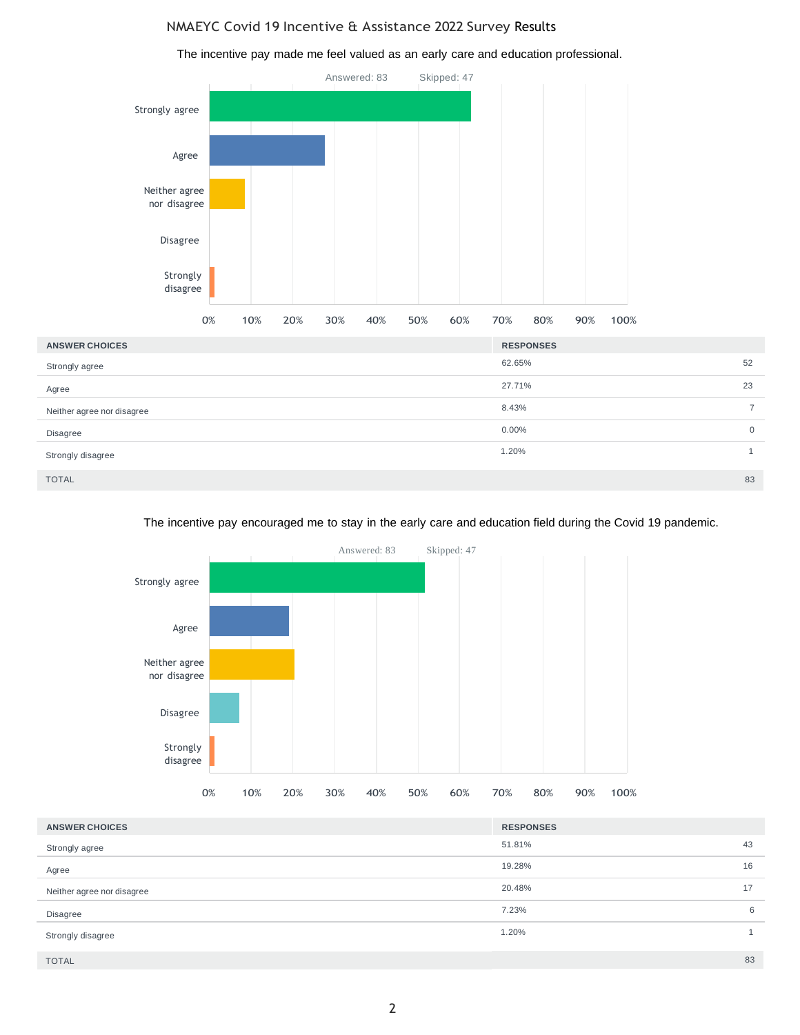#### NMAEYC Covid 19 Incentive & Assistance 2022 Survey Results

The incentive pay made me feel valued as an early care and education professional.



#### The incentive pay encouraged me to stay in the early care and education field during the Covid 19 pandemic.



| <b>ANSWER CHOICES</b>      | <b>RESPONSES</b> |    |
|----------------------------|------------------|----|
| Strongly agree             | 51.81%           | 43 |
| Agree                      | 19.28%           | 16 |
| Neither agree nor disagree | 20.48%           | 17 |
| Disagree                   | 7.23%            | 6  |
| Strongly disagree          | 1.20%            |    |
| <b>TOTAL</b>               |                  | 83 |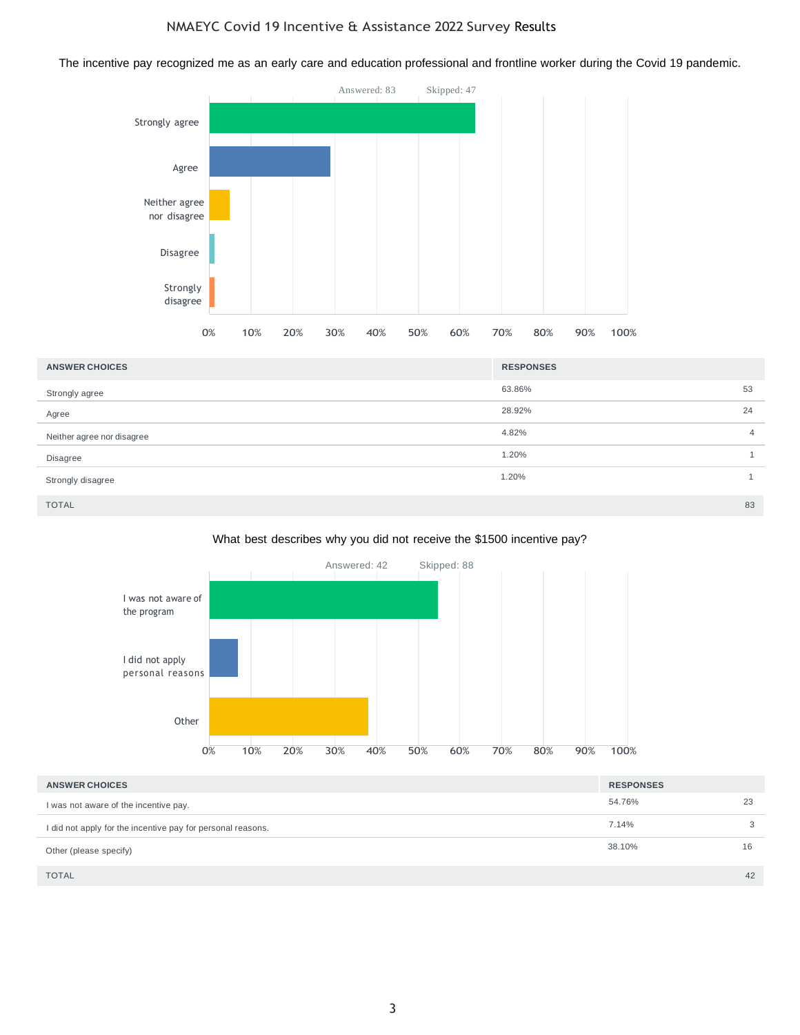The incentive pay recognized me as an early care and education professional and frontline worker during the Covid 19 pandemic.



| <b>ANSWER CHOICES</b>      | <b>RESPONSES</b> |                |
|----------------------------|------------------|----------------|
| Strongly agree             | 63.86%           | 53             |
| Agree                      | 28.92%           | 24             |
| Neither agree nor disagree | 4.82%            | $\overline{4}$ |
| Disagree                   | 1.20%            | $\mathbf{1}$   |
| Strongly disagree          | 1.20%            |                |
| <b>TOTAL</b>               |                  | 83             |

#### What best describes why you did not receive the \$1500 incentive pay?



| <b>ANSWER CHOICES</b>                                       | <b>RESPONSES</b> |    |
|-------------------------------------------------------------|------------------|----|
| I was not aware of the incentive pay.                       | 54.76%           | 23 |
| I did not apply for the incentive pay for personal reasons. | 7.14%            | 3  |
| Other (please specify)                                      | 38.10%           | 16 |
| <b>TOTAL</b>                                                |                  | 42 |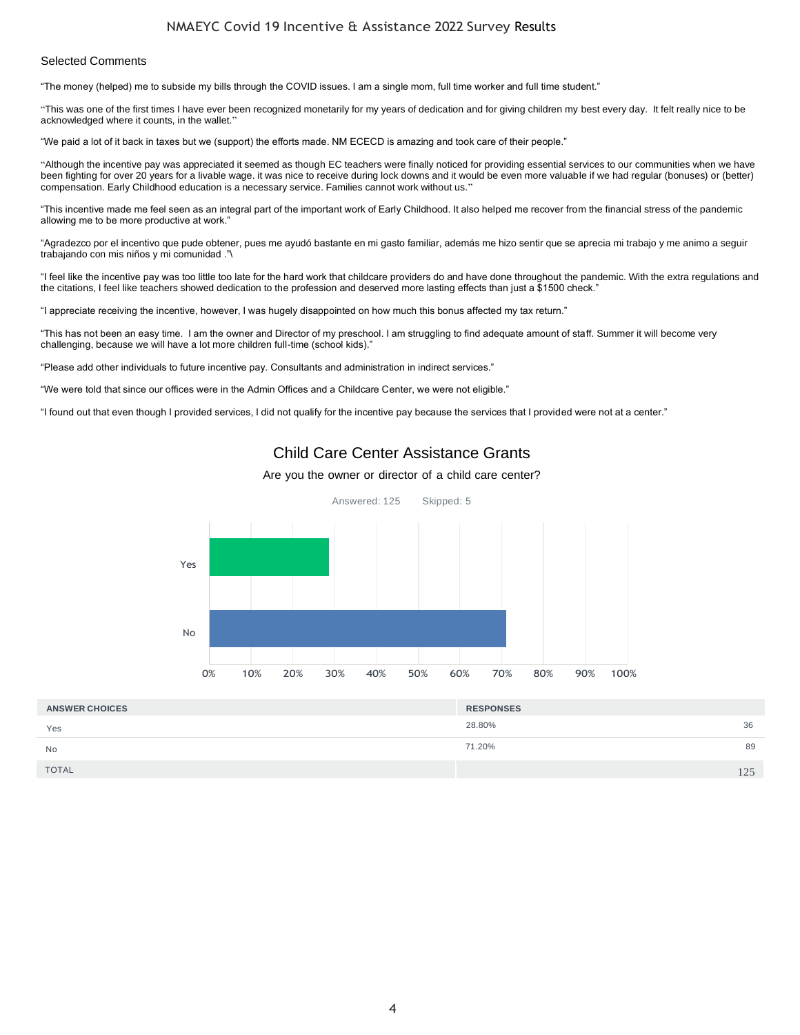#### NMAEYC Covid 19 Incentive & Assistance 2022 Survey Results

#### Selected Comments

"The money (helped) me to subside my bills through the COVID issues. I am a single mom, full time worker and full time student."

"This was one of the first times I have ever been recognized monetarily for my years of dedication and for giving children my best every day. It felt really nice to be acknowledged where it counts, in the wallet."

"We paid a lot of it back in taxes but we (support) the efforts made. NM ECECD is amazing and took care of their people."

"Although the incentive pay was appreciated it seemed as though EC teachers were finally noticed for providing essential services to our communities when we have been fighting for over 20 years for a livable wage. it was nice to receive during lock downs and it would be even more valuable if we had regular (bonuses) or (better) compensation. Early Childhood education is a necessary service. Families cannot work without us."

"This incentive made me feel seen as an integral part of the important work of Early Childhood. It also helped me recover from the financial stress of the pandemic allowing me to be more productive at work."

"Agradezco por el incentivo que pude obtener, pues me ayudó bastante en mi gasto familiar, además me hizo sentir que se aprecia mi trabajo y me animo a seguir trabajando con mis niños y mi comunidad ."\

"I feel like the incentive pay was too little too late for the hard work that childcare providers do and have done throughout the pandemic. With the extra regulations and the citations, I feel like teachers showed dedication to the profession and deserved more lasting effects than just a \$1500 check."

"I appreciate receiving the incentive, however, I was hugely disappointed on how much this bonus affected my tax return."

"This has not been an easy time. I am the owner and Director of my preschool. I am struggling to find adequate amount of staff. Summer it will become very challenging, because we will have a lot more children full-time (school kids)."

"Please add other individuals to future incentive pay. Consultants and administration in indirect services."

"We were told that since our offices were in the Admin Offices and a Childcare Center, we were not eligible."

"I found out that even though I provided services, I did not qualify for the incentive pay because the services that I provided were not at a center."

# Child Care Center Assistance Grants

#### Are you the owner or director of a child care center?



| <b>ANSWER CHOICES</b> | <b>RESPONSES</b> |     |
|-----------------------|------------------|-----|
| Yes                   | 28.80%           | 36  |
| No                    | 71.20%           | 89  |
| <b>TOTAL</b>          |                  | 125 |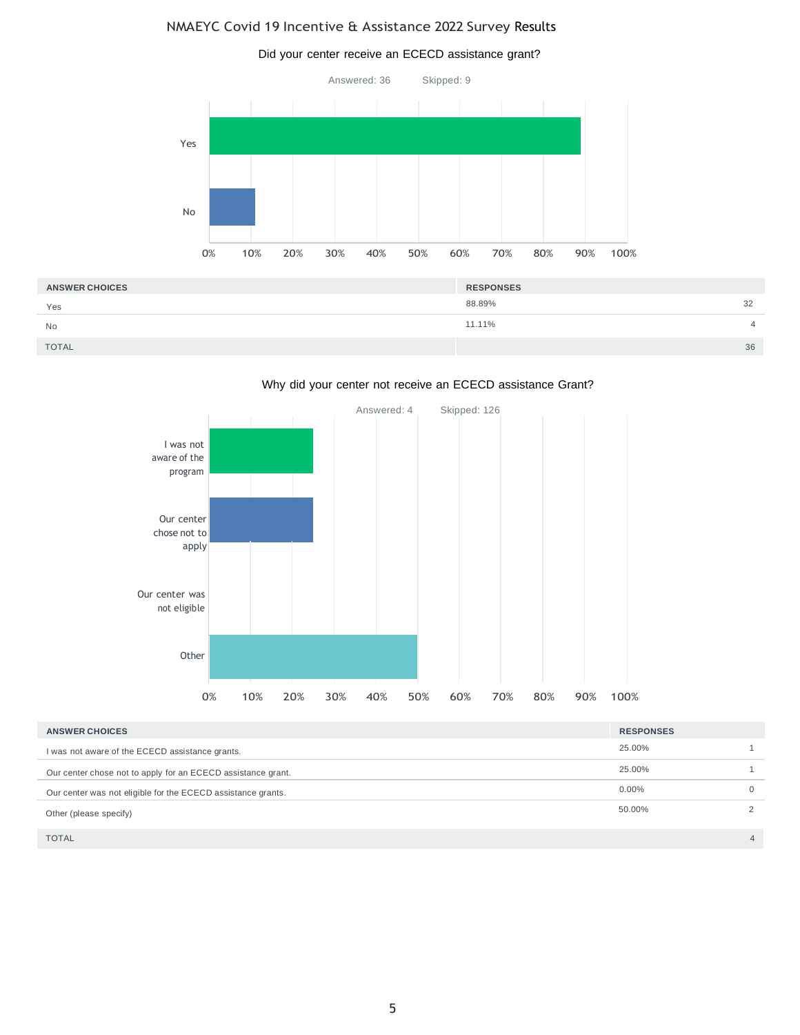# NMAEYC Covid 19 Incentive & Assistance 2022 Survey Results



| <b>ANSWER CHOICES</b> | <b>RESPONSES</b> |    |
|-----------------------|------------------|----|
| Yes                   | 88.89%           | 32 |
| No                    | 11.11%           |    |
| <b>TOTAL</b>          |                  | 36 |

#### Why did your center not receive an ECECD assistance Grant?



| <b>ANSWER CHOICES</b>                                        | <b>RESPONSES</b> |                |
|--------------------------------------------------------------|------------------|----------------|
| I was not aware of the ECECD assistance grants.              | 25.00%           |                |
| Our center chose not to apply for an ECECD assistance grant. | 25.00%           |                |
| Our center was not eligible for the ECECD assistance grants. | $0.00\%$         | $\Omega$       |
| Other (please specify)                                       | 50.00%           |                |
| <b>TOTAL</b>                                                 |                  | $\overline{4}$ |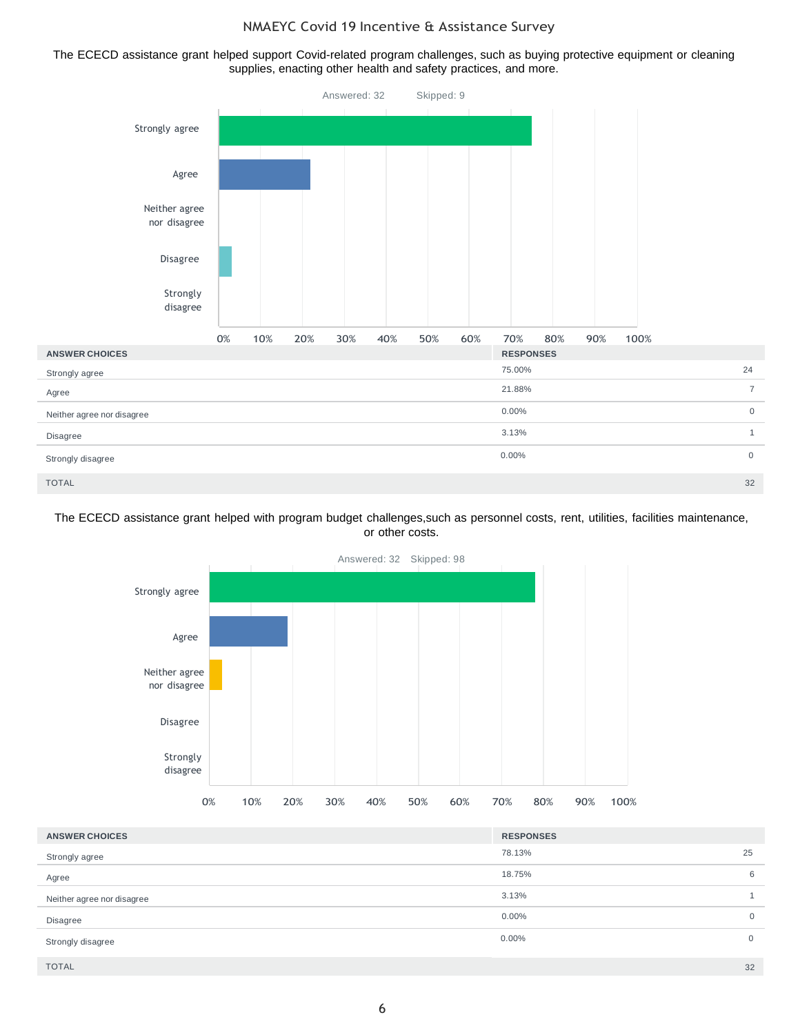The ECECD assistance grant helped support Covid-related program challenges, such as buying protective equipment or cleaning supplies, enacting other health and safety practices, and more.



#### The ECECD assistance grant helped with program budget challenges,such as personnel costs, rent, utilities, facilities maintenance, or other costs.



| <b>ANSWER CHOICES</b>      | <b>RESPONSES</b> |                |
|----------------------------|------------------|----------------|
| Strongly agree             | 78.13%           | 25             |
| Agree                      | 18.75%           | 6              |
| Neither agree nor disagree | 3.13%            |                |
| <b>Disagree</b>            | $0.00\%$         | $\overline{0}$ |
| Strongly disagree          | $0.00\%$         | $\overline{0}$ |
| <b>TOTAL</b>               |                  | 32             |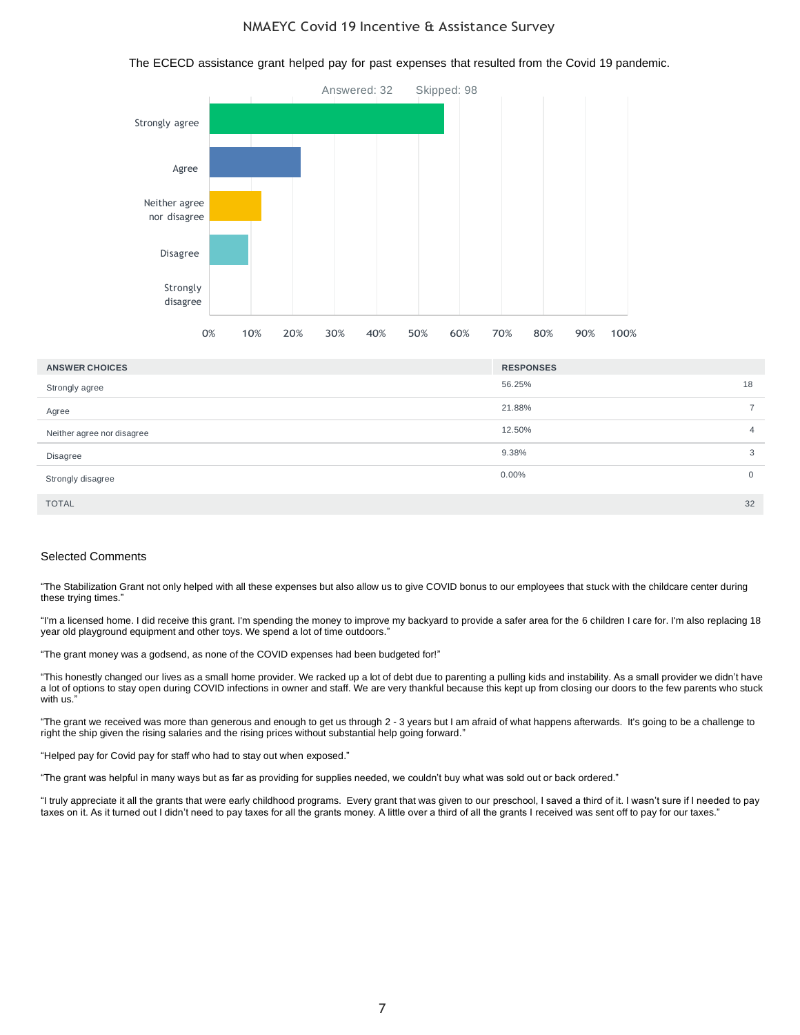# Answered: 32 Skipped: 98 Strongly agree Agree Neither agree nor disagree Disagree Strongly disagree 0% 10% 20% 30% 40% 50% 60% 70% 80% 90% 100%

| <b>ANSWER CHOICES</b>      | <b>RESPONSES</b> |                |
|----------------------------|------------------|----------------|
| Strongly agree             | 56.25%           | 18             |
| Agree                      | 21.88%           | $\overline{7}$ |
| Neither agree nor disagree | 12.50%           | $\overline{4}$ |
| Disagree                   | 9.38%            | 3              |
| Strongly disagree          | $0.00\%$         | 0              |
| <b>TOTAL</b>               |                  | 32             |

#### Selected Comments

"The Stabilization Grant not only helped with all these expenses but also allow us to give COVID bonus to our employees that stuck with the childcare center during these trying times."

"I'm a licensed home. I did receive this grant. I'm spending the money to improve my backyard to provide a safer area for the 6 children I care for. I'm also replacing 18 year old playground equipment and other toys. We spend a lot of time outdoors."

"The grant money was a godsend, as none of the COVID expenses had been budgeted for!"

"This honestly changed our lives as a small home provider. We racked up a lot of debt due to parenting a pulling kids and instability. As a small provider we didn't have a lot of options to stay open during COVID infections in owner and staff. We are very thankful because this kept up from closing our doors to the few parents who stuck with us."

"The grant we received was more than generous and enough to get us through 2 - 3 years but I am afraid of what happens afterwards. It's going to be a challenge to right the ship given the rising salaries and the rising prices without substantial help going forward."

"Helped pay for Covid pay for staff who had to stay out when exposed."

"The grant was helpful in many ways but as far as providing for supplies needed, we couldn't buy what was sold out or back ordered."

"I truly appreciate it all the grants that were early childhood programs. Every grant that was given to our preschool, I saved a third of it. I wasn't sure if I needed to pay taxes on it. As it turned out I didn't need to pay taxes for all the grants money. A little over a third of all the grants I received was sent off to pay for our taxes."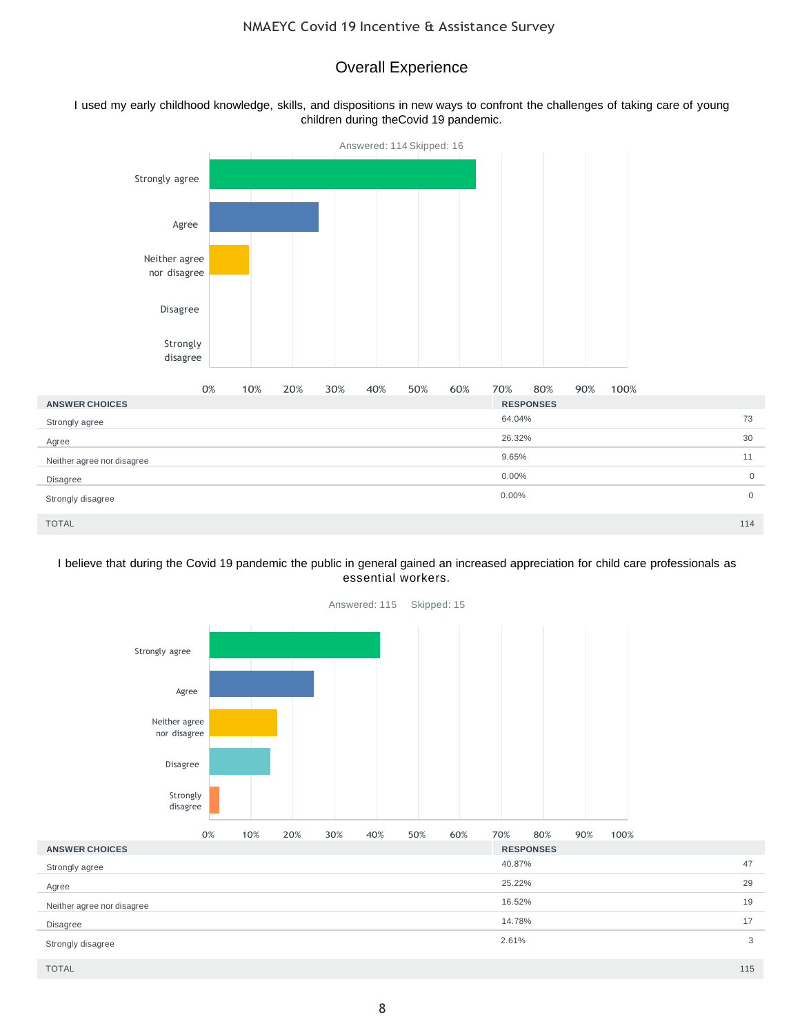# Overall Experience

I used my early childhood knowledge, skills, and dispositions in new ways to confront the challenges of taking care of young children during theCovid 19 pandemic.



#### I believe that during the Covid 19 pandemic the public in general gained an increased appreciation for child care professionals as essential workers.



Answered: 115 Skipped: 15

TOTAL 115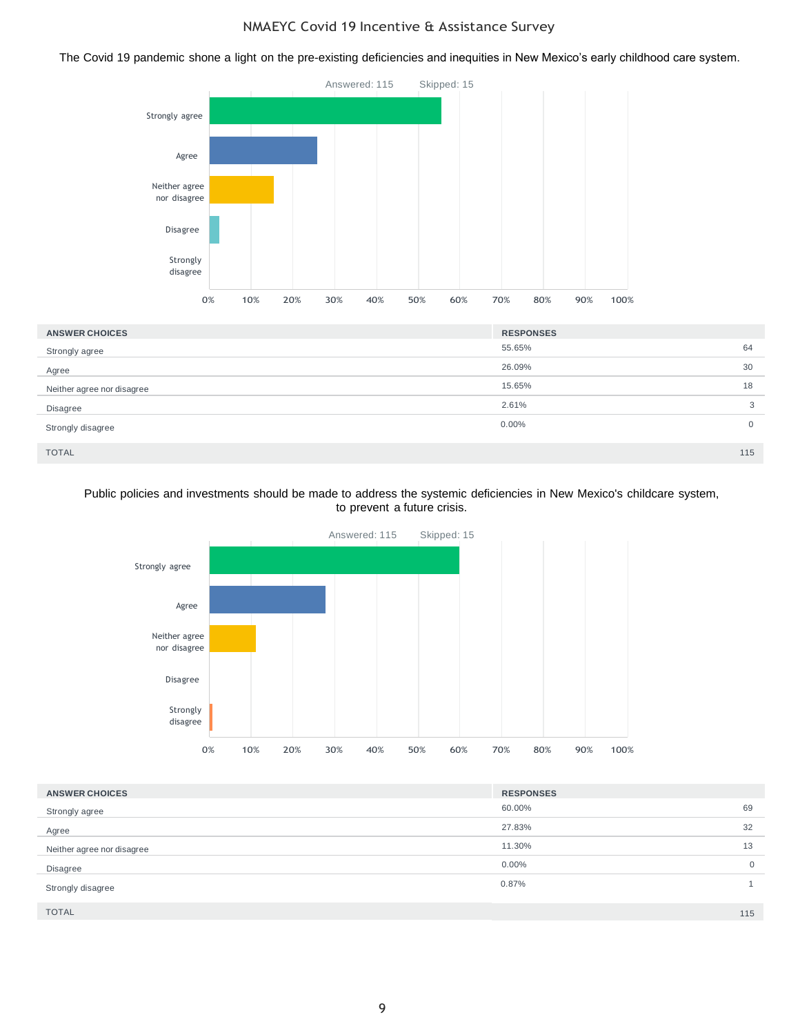The Covid 19 pandemic shone a light on the pre-existing deficiencies and inequities in New Mexico's early childhood care system.



| <b>ANSWER CHOICES</b>      | <b>RESPONSES</b> |     |
|----------------------------|------------------|-----|
| Strongly agree             | 55.65%           | 64  |
| Agree                      | 26.09%           | 30  |
| Neither agree nor disagree | 15.65%           | 18  |
| Disagree                   | 2.61%            | 3   |
| Strongly disagree          | 0.00%            | 0   |
| <b>TOTAL</b>               |                  | 115 |

#### Public policies and investments should be made to address the systemic deficiencies in New Mexico's childcare system, to prevent a future crisis.



| <b>ANSWER CHOICES</b>      | <b>RESPONSES</b> |                |
|----------------------------|------------------|----------------|
| Strongly agree             | 60.00%           | 69             |
| Agree                      | 27.83%           | 32             |
| Neither agree nor disagree | 11.30%           | 13             |
| Disagree                   | $0.00\%$         | $\overline{0}$ |
| Strongly disagree          | 0.87%            |                |
| <b>TOTAL</b>               |                  | 115            |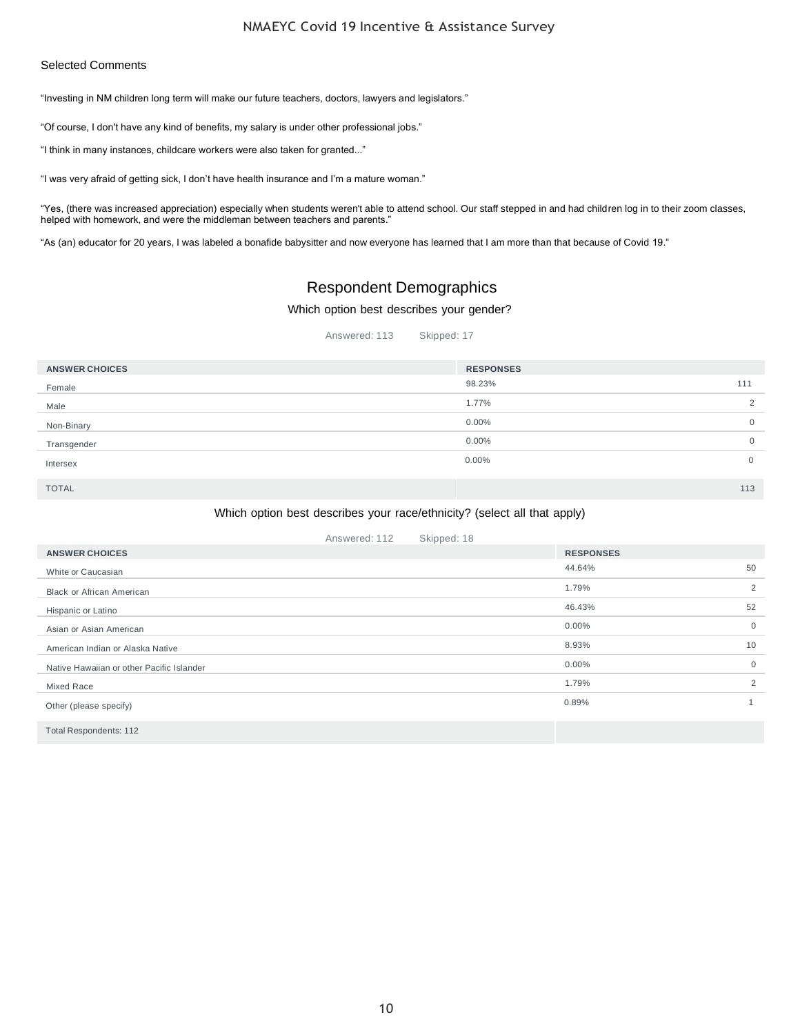#### Selected Comments

"Investing in NM children long term will make our future teachers, doctors, lawyers and legislators."

"Of course, I don't have any kind of benefits, my salary is under other professional jobs."

"I think in many instances, childcare workers were also taken for granted..."

"I was very afraid of getting sick, I don't have health insurance and I'm a mature woman."

"Yes, (there was increased appreciation) especially when students weren't able to attend school. Our staff stepped in and had children log in to their zoom classes, helped with homework, and were the middleman between teachers and parents."

"As (an) educator for 20 years, I was labeled a bonafide babysitter and now everyone has learned that I am more than that because of Covid 19."

# Respondent Demographics

Which option best describes your gender?

Answered: 113 Skipped: 17

| <b>ANSWER CHOICES</b> | <b>RESPONSES</b> |                |
|-----------------------|------------------|----------------|
| Female                | 98.23%           | 111            |
| Male                  | 1.77%            | 2              |
| Non-Binary            | $0.00\%$         | $\mathbf{0}$   |
| Transgender           | $0.00\%$         | $\overline{0}$ |
| Intersex              | $0.00\%$         | 0              |
| <b>TOTAL</b>          |                  | 113            |

#### Which option best describes your race/ethnicity? (select all that apply)

|                                           | Answered: 112 | Skipped: 18 |                  |                |
|-------------------------------------------|---------------|-------------|------------------|----------------|
| <b>ANSWER CHOICES</b>                     |               |             | <b>RESPONSES</b> |                |
| White or Caucasian                        |               |             | 44.64%           | 50             |
| <b>Black or African American</b>          |               |             | 1.79%            | 2              |
| Hispanic or Latino                        |               |             | 46.43%           | 52             |
| Asian or Asian American                   |               |             | $0.00\%$         | $\overline{0}$ |
| American Indian or Alaska Native          |               |             | 8.93%            | 10             |
| Native Hawaiian or other Pacific Islander |               |             | $0.00\%$         | $\overline{0}$ |
| <b>Mixed Race</b>                         |               |             | 1.79%            | 2              |
| Other (please specify)                    |               |             | 0.89%            | $\mathbf{1}$   |
| <b>Total Respondents: 112</b>             |               |             |                  |                |